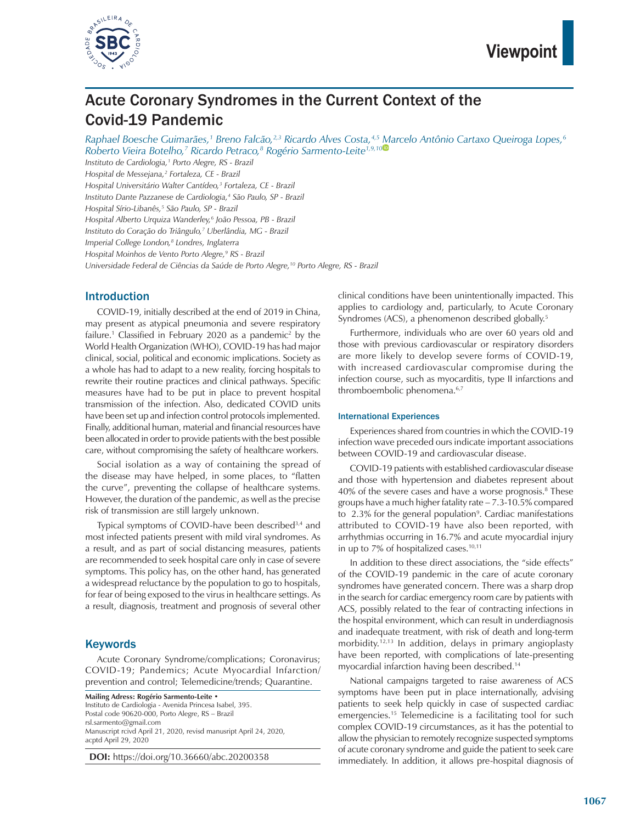

# Acute Coronary Syndromes in the Current Context of the Covid-19 Pandemic

*Raphael Boesche Guimarães,1 Breno Falcão,2,3 Ricardo Alves Costa,4,5 Marcelo Antônio Cartaxo Queiroga Lopes,6 Roberto Vieira Botelho,7 Ricardo Petraco,8 Rogério Sarmento-Leite1,9,10*

*Instituto de Cardiologia,1 Porto Alegre, RS - Brazil Hospital de Messejana,2 Fortaleza, CE - Brazil Hospital Universitário Walter Cantídeo,3 Fortaleza, CE - Brazil Instituto Dante Pazzanese de Cardiologia,4 São Paulo, SP - Brazil Hospital Sírio-Libanês,5 São Paulo, SP - Brazil Hospital Alberto Urquiza Wanderley,6 João Pessoa, PB - Brazil Instituto do Coração do Triângulo,7 Uberlândia, MG - Brazil Imperial College London,8 Londres, Inglaterra Hospital Moinhos de Vento Porto Alegre,9 RS - Brazil Universidade Federal de Ciências da Saúde de Porto Alegre,10 Porto Alegre, RS - Brazil*

## Introduction

COVID-19, initially described at the end of 2019 in China, may present as atypical pneumonia and severe respiratory failure.<sup>1</sup> Classified in February 2020 as a pandemic<sup>2</sup> by the World Health Organization (WHO), COVID-19 has had major clinical, social, political and economic implications. Society as a whole has had to adapt to a new reality, forcing hospitals to rewrite their routine practices and clinical pathways. Specific measures have had to be put in place to prevent hospital transmission of the infection. Also, dedicated COVID units have been set up and infection control protocols implemented. Finally, additional human, material and financial resources have been allocated in order to provide patients with the best possible care, without compromising the safety of healthcare workers.

Social isolation as a way of containing the spread of the disease may have helped, in some places, to "flatten the curve", preventing the collapse of healthcare systems. However, the duration of the pandemic, as well as the precise risk of transmission are still largely unknown.

Typical symptoms of COVID-have been described<sup>3,4</sup> and most infected patients present with mild viral syndromes. As a result, and as part of social distancing measures, patients are recommended to seek hospital care only in case of severe symptoms. This policy has, on the other hand, has generated a widespread reluctance by the population to go to hospitals, for fear of being exposed to the virus in healthcare settings. As a result, diagnosis, treatment and prognosis of several other

### **Keywords**

Acute Coronary Syndrome/complications; Coronavirus; COVID-19; Pandemics; Acute Myocardial Infarction/ prevention and control; Telemedicine/trends; Quarantine.

**Mailing Adress: Rogério Sarmento-Leite** • Instituto de Cardiologia - Avenida Princesa Isabel, 395. Postal code 90620-000, Porto Alegre, RS – Brazil rsl.sarmento@gmail.com Manuscript rcivd April 21, 2020, revisd manusript April 24, 2020, acptd April 29, 2020

**DOI:** https://doi.org/10.36660/abc.20200358

clinical conditions have been unintentionally impacted. This applies to cardiology and, particularly, to Acute Coronary Syndromes (ACS), a phenomenon described globally.<sup>5</sup>

Furthermore, individuals who are over 60 years old and those with previous cardiovascular or respiratory disorders are more likely to develop severe forms of COVID-19, with increased cardiovascular compromise during the infection course, such as myocarditis, type II infarctions and thromboembolic phenomena.<sup>6,7</sup>

#### International Experiences

Experiences shared from countries in which the COVID-19 infection wave preceded ours indicate important associations between COVID-19 and cardiovascular disease.

COVID-19 patients with established cardiovascular disease and those with hypertension and diabetes represent about 40% of the severe cases and have a worse prognosis.<sup>8</sup> These groups have a much higher fatality rate – 7.3-10.5% compared to 2.3% for the general population<sup>9</sup>. Cardiac manifestations attributed to COVID-19 have also been reported, with arrhythmias occurring in 16.7% and acute myocardial injury in up to 7% of hospitalized cases.<sup>10,11</sup>

In addition to these direct associations, the "side effects" of the COVID-19 pandemic in the care of acute coronary syndromes have generated concern. There was a sharp drop in the search for cardiac emergency room care by patients with ACS, possibly related to the fear of contracting infections in the hospital environment, which can result in underdiagnosis and inadequate treatment, with risk of death and long-term morbidity.12,13 In addition, delays in primary angioplasty have been reported, with complications of late-presenting myocardial infarction having been described.14

National campaigns targeted to raise awareness of ACS symptoms have been put in place internationally, advising patients to seek help quickly in case of suspected cardiac emergencies.15 Telemedicine is a facilitating tool for such complex COVID-19 circumstances, as it has the potential to allow the physician to remotely recognize suspected symptoms of acute coronary syndrome and guide the patient to seek care immediately. In addition, it allows pre-hospital diagnosis of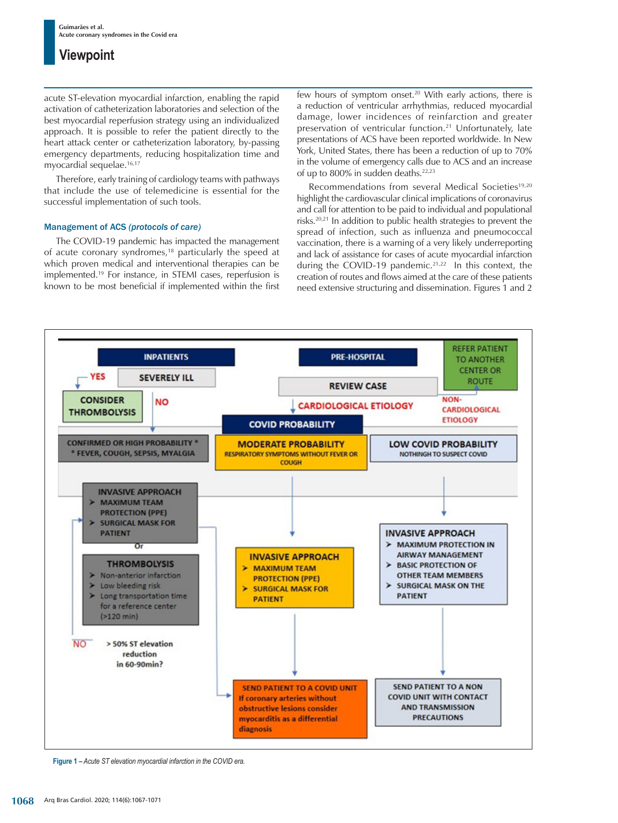## **Viewpoint**

acute ST-elevation myocardial infarction, enabling the rapid activation of catheterization laboratories and selection of the best myocardial reperfusion strategy using an individualized approach. It is possible to refer the patient directly to the heart attack center or catheterization laboratory, by-passing emergency departments, reducing hospitalization time and myocardial sequelae.16,17

Therefore, early training of cardiology teams with pathways that include the use of telemedicine is essential for the successful implementation of such tools.

#### Management of ACS *(protocols of care)*

The COVID-19 pandemic has impacted the management of acute coronary syndromes,<sup>18</sup> particularly the speed at which proven medical and interventional therapies can be implemented.19 For instance, in STEMI cases, reperfusion is known to be most beneficial if implemented within the first few hours of symptom onset.<sup>20</sup> With early actions, there is a reduction of ventricular arrhythmias, reduced myocardial damage, lower incidences of reinfarction and greater preservation of ventricular function.21 Unfortunately, late presentations of ACS have been reported worldwide. In New York, United States, there has been a reduction of up to 70% in the volume of emergency calls due to ACS and an increase of up to 800% in sudden deaths.<sup>22,23</sup>

Recommendations from several Medical Societies<sup>19,20</sup> highlight the cardiovascular clinical implications of coronavirus and call for attention to be paid to individual and populational risks.20,21 In addition to public health strategies to prevent the spread of infection, such as influenza and pneumococcal vaccination, there is a warning of a very likely underreporting and lack of assistance for cases of acute myocardial infarction during the COVID-19 pandemic.<sup>21,22</sup> In this context, the creation of routes and flows aimed at the care of these patients need extensive structuring and dissemination. Figures 1 and 2



**Figure 1 –** *Acute ST elevation myocardial infarction in the COVID era.*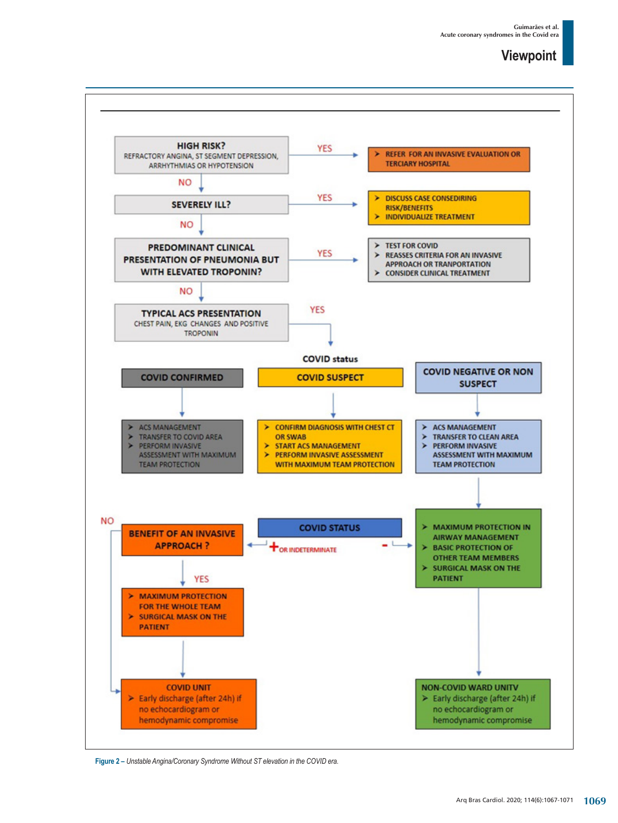## **Viewpoint**



**Figure 2 –** *Unstable Angina/Coronary Syndrome Without ST elevation in the COVID era.*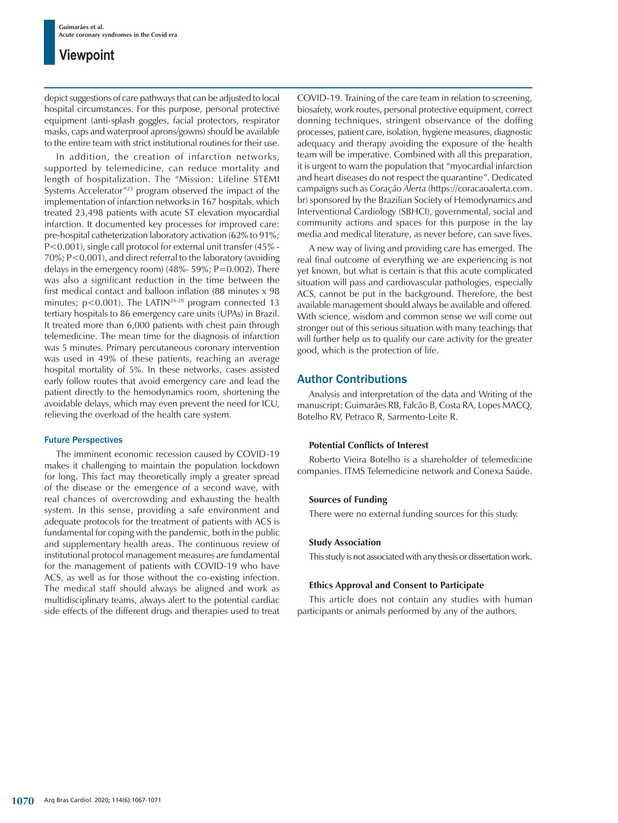## **Viewpoint**

depict suggestions of care pathways that can be adjusted to local hospital circumstances. For this purpose, personal protective equipment (anti-splash goggles, facial protectors, respirator masks, caps and waterproof aprons/gowns) should be available to the entire team with strict institutional routines for their use.

In addition, the creation of infarction networks, supported by telemedicine, can reduce mortality and length of hospitalization. The "Mission: Lifeline STEMI Systems Accelerator"23 program observed the impact of the implementation of infarction networks in 167 hospitals, which treated 23,498 patients with acute ST elevation myocardial infarction. It documented key processes for improved care: pre-hospital catheterization laboratory activation (62% to 91%; P<0.001), single call protocol for external unit transfer (45% - 70%; P<0.001), and direct referral to the laboratory (avoiding delays in the emergency room) (48%- 59%; P=0.002). There was also a significant reduction in the time between the first medical contact and balloon inflation (88 minutes x 98 minutes;  $p < 0.001$ ). The LATIN<sup>24-28</sup> program connected 13 tertiary hospitals to 86 emergency care units (UPAs) in Brazil. It treated more than 6,000 patients with chest pain through telemedicine. The mean time for the diagnosis of infarction was 5 minutes. Primary percutaneous coronary intervention was used in 49% of these patients, reaching an average hospital mortality of 5%. In these networks, cases assisted early follow routes that avoid emergency care and lead the patient directly to the hemodynamics room, shortening the avoidable delays, which may even prevent the need for ICU, relieving the overload of the health care system.

#### Future Perspectives

The imminent economic recession caused by COVID-19 makes it challenging to maintain the population lockdown for long. This fact may theoretically imply a greater spread of the disease or the emergence of a second wave, with real chances of overcrowding and exhausting the health system. In this sense, providing a safe environment and adequate protocols for the treatment of patients with ACS is fundamental for coping with the pandemic, both in the public and supplementary health areas. The continuous review of institutional protocol management measures are fundamental for the management of patients with COVID-19 who have ACS, as well as for those without the co-existing infection. The medical staff should always be aligned and work as multidisciplinary teams, always alert to the potential cardiac side effects of the different drugs and therapies used to treat COVID-19. Training of the care team in relation to screening, biosafety, work routes, personal protective equipment, correct donning techniques, stringent observance of the doffing processes, patient care, isolation, hygiene measures, diagnostic adequacy and therapy avoiding the exposure of the health team will be imperative. Combined with all this preparation, it is urgent to warn the population that "myocardial infarction and heart diseases do not respect the quarantine". Dedicated campaigns such as *Coração Alerta* (https://coracaoalerta.com. br) sponsored by the Brazilian Society of Hemodynamics and Interventional Cardiology (SBHCI), governmental, social and community actions and spaces for this purpose in the lay media and medical literature, as never before, can save lives.

A new way of living and providing care has emerged. The real final outcome of everything we are experiencing is not yet known, but what is certain is that this acute complicated situation will pass and cardiovascular pathologies, especially ACS, cannot be put in the background. Therefore, the best available management should always be available and offered. With science, wisdom and common sense we will come out stronger out of this serious situation with many teachings that will further help us to qualify our care activity for the greater good, which is the protection of life.

### Author Contributions

Analysis and interpretation of the data and Writing of the manuscript: Guimarães RB, Falcão B, Costa RA, Lopes MACQ, Botelho RV, Petraco R, Sarmento-Leite R.

#### **Potential Conflicts of Interest**

Roberto Vieira Botelho is a shareholder of telemedicine companies. ITMS Telemedicine network and Conexa Saúde.

#### **Sources of Funding**

There were no external funding sources for this study.

#### **Study Association**

This study is not associated with any thesis or dissertation work.

#### **Ethics Approval and Consent to Participate**

This article does not contain any studies with human participants or animals performed by any of the authors.